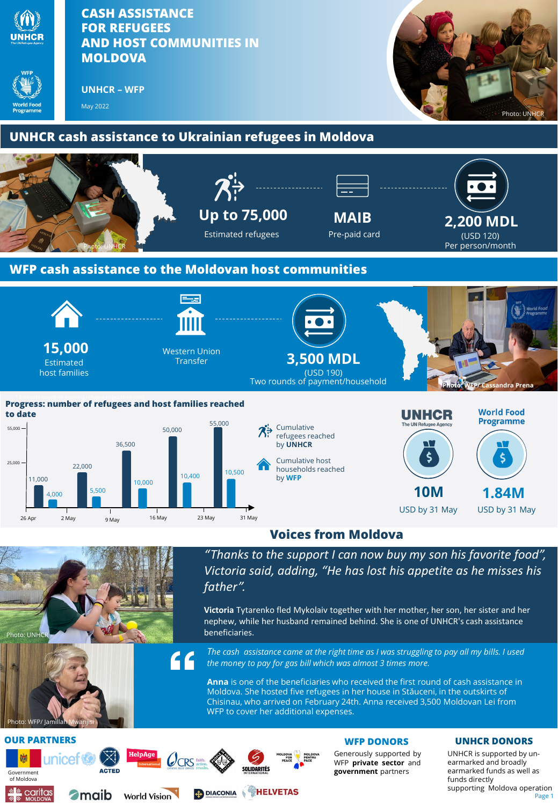

## **OUR PARTNERS WFP DONORS**







 $QCRS$ 





Generously supported by WFP **private sector** and **government** partners

## **UNHCR DONORS**

Page 1 UNHCR is supported by unearmarked and broadly earmarked funds as well as funds directly supporting Moldova operation